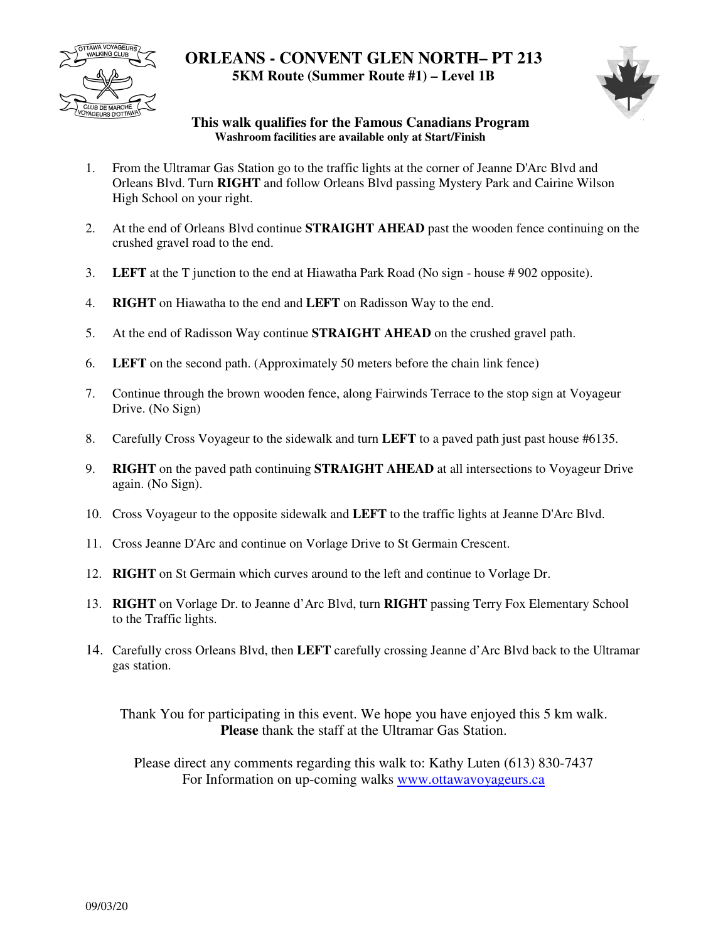

## **ORLEANS - CONVENT GLEN NORTH– PT 213 5KM Route (Summer Route #1) – Level 1B**



## **This walk qualifies for the Famous Canadians Program Washroom facilities are available only at Start/Finish**

- 1. From the Ultramar Gas Station go to the traffic lights at the corner of Jeanne D'Arc Blvd and Orleans Blvd. Turn **RIGHT** and follow Orleans Blvd passing Mystery Park and Cairine Wilson High School on your right.
- 2. At the end of Orleans Blvd continue **STRAIGHT AHEAD** past the wooden fence continuing on the crushed gravel road to the end.
- 3. **LEFT** at the T junction to the end at Hiawatha Park Road (No sign house # 902 opposite).
- 4. **RIGHT** on Hiawatha to the end and **LEFT** on Radisson Way to the end.
- 5. At the end of Radisson Way continue **STRAIGHT AHEAD** on the crushed gravel path.
- 6. **LEFT** on the second path. (Approximately 50 meters before the chain link fence)
- 7. Continue through the brown wooden fence, along Fairwinds Terrace to the stop sign at Voyageur Drive. (No Sign)
- 8. Carefully Cross Voyageur to the sidewalk and turn **LEFT** to a paved path just past house #6135.
- 9. **RIGHT** on the paved path continuing **STRAIGHT AHEAD** at all intersections to Voyageur Drive again. (No Sign).
- 10. Cross Voyageur to the opposite sidewalk and **LEFT** to the traffic lights at Jeanne D'Arc Blvd.
- 11. Cross Jeanne D'Arc and continue on Vorlage Drive to St Germain Crescent.
- 12. **RIGHT** on St Germain which curves around to the left and continue to Vorlage Dr.
- 13. **RIGHT** on Vorlage Dr. to Jeanne d'Arc Blvd, turn **RIGHT** passing Terry Fox Elementary School to the Traffic lights.
- 14. Carefully cross Orleans Blvd, then **LEFT** carefully crossing Jeanne d'Arc Blvd back to the Ultramar gas station.

Thank You for participating in this event. We hope you have enjoyed this 5 km walk. **Please** thank the staff at the Ultramar Gas Station.

Please direct any comments regarding this walk to: Kathy Luten (613) 830-7437 For Information on up-coming walks www.ottawavoyageurs.ca